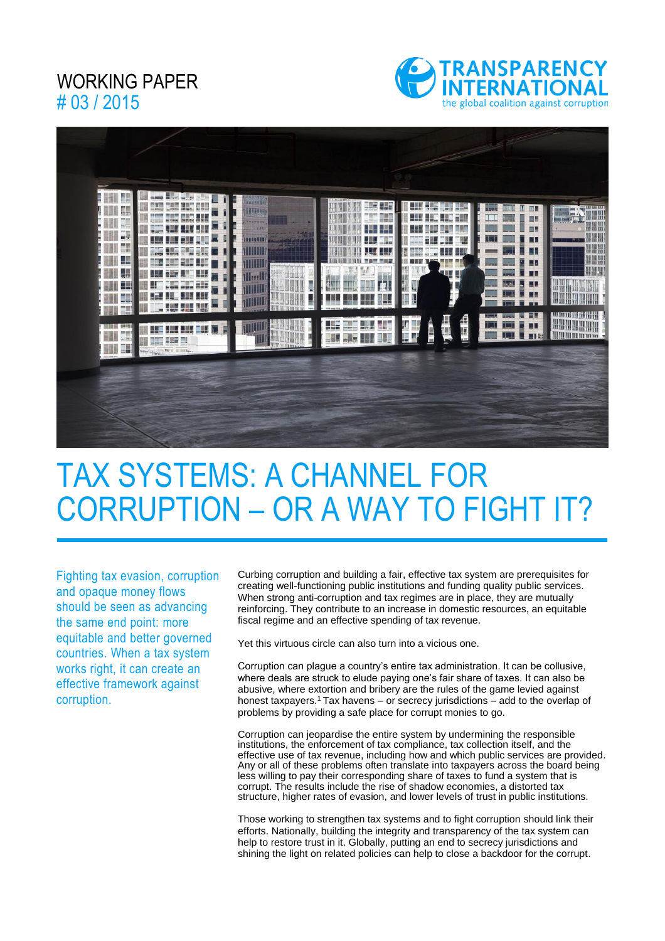### WORKING PAPER # 03 / 2015





# TAX SYSTEMS: A CHANNEL FOR CORRUPTION – OR A WAY TO FIGHT IT?

Fighting tax evasion, corruption and opaque money flows should be seen as advancing the same end point: more equitable and better governed countries. When a tax system works right, it can create an effective framework against corruption.

Curbing corruption and building a fair, effective tax system are prerequisites for creating well-functioning public institutions and funding quality public services. When strong anti-corruption and tax regimes are in place, they are mutually reinforcing. They contribute to an increase in domestic resources, an equitable fiscal regime and an effective spending of tax revenue.

Yet this virtuous circle can also turn into a vicious one.

Corruption can plague a country's entire tax administration. It can be collusive, where deals are struck to elude paying one's fair share of taxes. It can also be abusive, where extortion and bribery are the rules of the game levied against honest taxpayers.<sup>1</sup> Tax havens – or secrecy jurisdictions – add to the overlap of problems by providing a safe place for corrupt monies to go.

Corruption can jeopardise the entire system by undermining the responsible institutions, the enforcement of tax compliance, tax collection itself, and the effective use of tax revenue, including how and which public services are provided. Any or all of these problems often translate into taxpayers across the board being less willing to pay their corresponding share of taxes to fund a system that is corrupt. The results include the rise of shadow economies, a distorted tax structure, higher rates of evasion, and lower levels of trust in public institutions.

Those working to strengthen tax systems and to fight corruption should link their efforts. Nationally, building the integrity and transparency of the tax system can help to restore trust in it. Globally, putting an end to secrecy jurisdictions and shining the light on related policies can help to close a backdoor for the corrupt.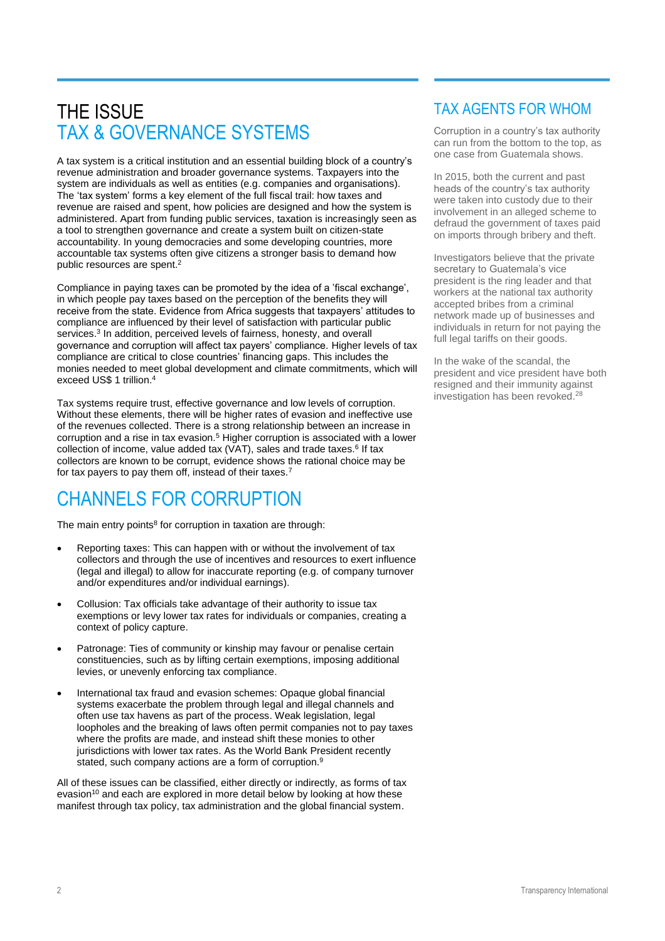### THE ISSUE TAX & GOVERNANCE SYSTEMS

A tax system is a critical institution and an essential building block of a country's revenue administration and broader governance systems. Taxpayers into the system are individuals as well as entities (e.g. companies and organisations). The 'tax system' forms a key element of the full fiscal trail: how taxes and revenue are raised and spent, how policies are designed and how the system is administered. Apart from funding public services, taxation is increasingly seen as a tool to strengthen governance and create a system built on citizen-state accountability. In young democracies and some developing countries, more accountable tax systems often give citizens a stronger basis to demand how public resources are spent. 2

Compliance in paying taxes can be promoted by the idea of a 'fiscal exchange', in which people pay taxes based on the perception of the benefits they will receive from the state. Evidence from Africa suggests that taxpayers' attitudes to compliance are influenced by their level of satisfaction with particular public services.<sup>3</sup> In addition, perceived levels of fairness, honesty, and overall governance and corruption will affect tax payers' compliance. Higher levels of tax compliance are critical to close countries' financing gaps. This includes the monies needed to meet global development and climate commitments, which will exceed US\$ 1 trillion.<sup>4</sup>

Tax systems require trust, effective governance and low levels of corruption. Without these elements, there will be higher rates of evasion and ineffective use of the revenues collected. There is a strong relationship between an increase in corruption and a rise in tax evasion.<sup>5</sup> Higher corruption is associated with a lower collection of income, value added tax (VAT), sales and trade taxes.<sup>6</sup> If tax collectors are known to be corrupt, evidence shows the rational choice may be for tax payers to pay them off, instead of their taxes.<sup>7</sup>

### CHANNELS FOR CORRUPTION

The main entry points<sup>8</sup> for corruption in taxation are through:

- Reporting taxes: This can happen with or without the involvement of tax collectors and through the use of incentives and resources to exert influence (legal and illegal) to allow for inaccurate reporting (e.g. of company turnover and/or expenditures and/or individual earnings).
- Collusion: Tax officials take advantage of their authority to issue tax exemptions or levy lower tax rates for individuals or companies, creating a context of policy capture.
- Patronage: Ties of community or kinship may favour or penalise certain constituencies, such as by lifting certain exemptions, imposing additional levies, or unevenly enforcing tax compliance.
- International tax fraud and evasion schemes: Opaque global financial systems exacerbate the problem through legal and illegal channels and often use tax havens as part of the process. Weak legislation, legal loopholes and the breaking of laws often permit companies not to pay taxes where the profits are made, and instead shift these monies to other jurisdictions with lower tax rates. As the World Bank President recently stated, such company actions are a form of corruption.<sup>9</sup>

All of these issues can be classified, either directly or indirectly, as forms of tax evasion<sup>10</sup> and each are explored in more detail below by looking at how these manifest through tax policy, tax administration and the global financial system.

#### TAX AGENTS FOR WHOM

Corruption in a country's tax authority can run from the bottom to the top, as one case from Guatemala shows.

In 2015, both the current and past heads of the country's tax authority were taken into custody due to their involvement in an alleged scheme to defraud the government of taxes paid on imports through bribery and theft.

Investigators believe that the private secretary to Guatemala's vice president is the ring leader and that workers at the national tax authority accepted bribes from a criminal network made up of businesses and individuals in return for not paying the full legal tariffs on their goods.

In the wake of the scandal, the president and vice president have both resigned and their immunity against investigation has been revoked. 28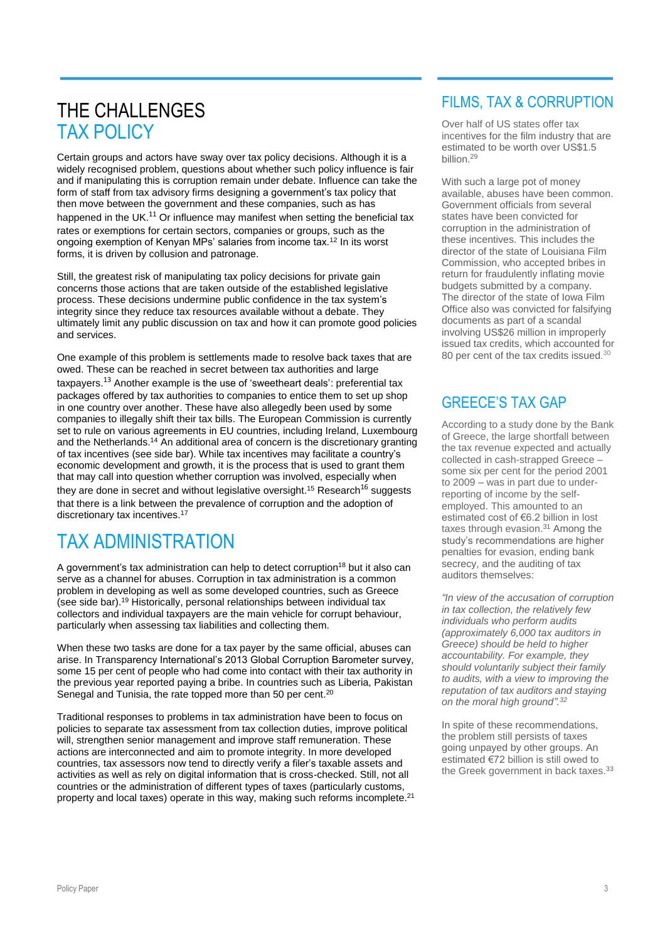### THE CHALLENGES TAX POLICY

Certain groups and actors have sway over tax policy decisions. Although it is a widely recognised problem, questions about whether such policy influence is fair and if manipulating this is corruption remain under debate. Influence can take the form of staff from tax advisory firms designing a government's tax policy that then move between the government and these companies, such as has happened in the UK. $^{11}$  Or influence may manifest when setting the beneficial tax rates or exemptions for certain sectors, companies or groups, such as the ongoing exemption of Kenyan MPs' salaries from income tax.<sup>12</sup> In its worst forms, it is driven by collusion and patronage.

Still, the greatest risk of manipulating tax policy decisions for private gain concerns those actions that are taken outside of the established legislative process. These decisions undermine public confidence in the tax system's integrity since they reduce tax resources available without a debate. They ultimately limit any public discussion on tax and how it can promote good policies and services.

One example of this problem is settlements made to resolve back taxes that are owed. These can be reached in secret between tax authorities and large taxpayers.<sup>13</sup> Another example is the use of 'sweetheart deals': preferential tax packages offered by tax authorities to companies to entice them to set up shop in one country over another. These have also allegedly been used by some companies to illegally shift their tax bills. The European Commission is currently set to rule on various agreements in EU countries, including Ireland, Luxembourg and the Netherlands.<sup>14</sup> An additional area of concern is the discretionary granting of tax incentives (see side bar). While tax incentives may facilitate a country's economic development and growth, it is the process that is used to grant them that may call into question whether corruption was involved, especially when they are done in secret and without legislative oversight.<sup>15</sup> Research<sup>16</sup> suggests that there is a link between the prevalence of corruption and the adoption of discretionary tax incentives. 17

## TAX ADMINISTRATION

A government's tax administration can help to detect corruption<sup>18</sup> but it also can serve as a channel for abuses. Corruption in tax administration is a common problem in developing as well as some developed countries, such as Greece (see side bar). <sup>19</sup> Historically, personal relationships between individual tax collectors and individual taxpayers are the main vehicle for corrupt behaviour, particularly when assessing tax liabilities and collecting them.

When these two tasks are done for a tax payer by the same official, abuses can arise. In Transparency International's 2013 Global Corruption Barometer survey, some 15 per cent of people who had come into contact with their tax authority in the previous year reported paying a bribe. In countries such as Liberia, Pakistan Senegal and Tunisia, the rate topped more than 50 per cent.<sup>20</sup>

Traditional responses to problems in tax administration have been to focus on policies to separate tax assessment from tax collection duties, improve political will, strengthen senior management and improve staff remuneration. These actions are interconnected and aim to promote integrity. In more developed countries, tax assessors now tend to directly verify a filer's taxable assets and activities as well as rely on digital information that is cross-checked. Still, not all countries or the administration of different types of taxes (particularly customs, property and local taxes) operate in this way, making such reforms incomplete.<sup>21</sup>

### FILMS, TAX & CORRUPTION

Over half of US states offer tax incentives for the film industry that are estimated to be worth over US\$1.5 billion.<sup>29</sup>

With such a large pot of money available, abuses have been common. Government officials from several states have been convicted for corruption in the administration of these incentives. This includes the director of the state of Louisiana Film Commission, who accepted bribes in return for fraudulently inflating movie budgets submitted by a company. The director of the state of Iowa Film Office also was convicted for falsifying documents as part of a scandal involving US\$26 million in improperly issued tax credits, which accounted for 80 per cent of the tax credits issued. $30$ 

### GREECE'S TAX GAP

According to a study done by the Bank of Greece, the large shortfall between the tax revenue expected and actually collected in cash-strapped Greece – some six per cent for the period 2001 to 2009 – was in part due to underreporting of income by the selfemployed. This amounted to an estimated cost of €6.2 billion in lost taxes through evasion. <sup>31</sup> Among the study's recommendations are higher penalties for evasion, ending bank secrecy, and the auditing of tax auditors themselves:

*"In view of the accusation of corruption in tax collection, the relatively few individuals who perform audits (approximately 6,000 tax auditors in Greece) should be held to higher accountability. For example, they should voluntarily subject their family to audits, with a view to improving the reputation of tax auditors and staying on the moral high ground". 32*

In spite of these recommendations, the problem still persists of taxes going unpayed by other groups. An estimated €72 billion is still owed to the Greek government in back taxes.<sup>33</sup>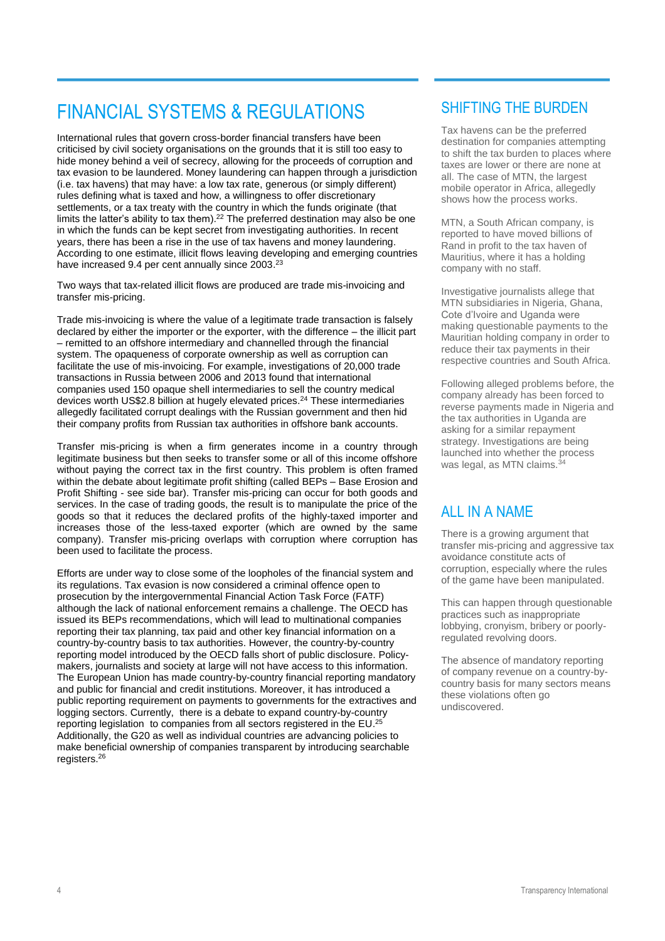### FINANCIAL SYSTEMS & REGULATIONS

International rules that govern cross-border financial transfers have been criticised by civil society organisations on the grounds that it is still too easy to hide money behind a veil of secrecy, allowing for the proceeds of corruption and tax evasion to be laundered. Money laundering can happen through a jurisdiction (i.e. tax havens) that may have: a low tax rate, generous (or simply different) rules defining what is taxed and how, a willingness to offer discretionary settlements, or a tax treaty with the country in which the funds originate (that limits the latter's ability to tax them). <sup>22</sup> The preferred destination may also be one in which the funds can be kept secret from investigating authorities. In recent years, there has been a rise in the use of tax havens and money laundering. According to one estimate, illicit flows leaving developing and emerging countries have increased 9.4 per cent annually since 2003. 23

Two ways that tax-related illicit flows are produced are trade mis-invoicing and transfer mis-pricing.

Trade mis-invoicing is where the value of a legitimate trade transaction is falsely declared by either the importer or the exporter, with the difference – the illicit part – remitted to an offshore intermediary and channelled through the financial system. The opaqueness of corporate ownership as well as corruption can facilitate the use of mis-invoicing. For example, investigations of 20,000 trade transactions in Russia between 2006 and 2013 found that international companies used 150 opaque shell intermediaries to sell the country medical devices worth US\$2.8 billion at hugely elevated prices.<sup>24</sup> These intermediaries allegedly facilitated corrupt dealings with the Russian government and then hid their company profits from Russian tax authorities in offshore bank accounts.

Transfer mis-pricing is when a firm generates income in a country through legitimate business but then seeks to transfer some or all of this income offshore without paying the correct tax in the first country. This problem is often framed within the debate about legitimate profit shifting (called BEPs – Base Erosion and Profit Shifting - see side bar). Transfer mis-pricing can occur for both goods and services. In the case of trading goods, the result is to manipulate the price of the goods so that it reduces the declared profits of the highly-taxed importer and increases those of the less-taxed exporter (which are owned by the same company). Transfer mis-pricing overlaps with corruption where corruption has been used to facilitate the process.

Efforts are under way to close some of the loopholes of the financial system and its regulations. Tax evasion is now considered a criminal offence open to prosecution by the intergovernmental Financial Action Task Force (FATF) although the lack of national enforcement remains a challenge. The OECD has issued its BEPs recommendations, which will lead to multinational companies reporting their tax planning, tax paid and other key financial information on a country-by-country basis to tax authorities. However, the country-by-country reporting model introduced by the OECD falls short of public disclosure. Policymakers, journalists and society at large will not have access to this information. The European Union has made country-by-country financial reporting mandatory and public for financial and credit institutions. Moreover, it has introduced a public reporting requirement on payments to governments for the extractives and logging sectors. Currently, there is a debate to expand country-by-country reporting legislation to companies from all sectors registered in the EU.<sup>25</sup> Additionally, the G20 as well as individual countries are advancing policies to make beneficial ownership of companies transparent by introducing searchable registers. 26

### SHIFTING THE BURDEN

Tax havens can be the preferred destination for companies attempting to shift the tax burden to places where taxes are lower or there are none at all. The case of MTN, the largest mobile operator in Africa, allegedly shows how the process works.

MTN, a South African company, is reported to have moved billions of Rand in profit to the tax haven of Mauritius, where it has a holding company with no staff.

Investigative journalists allege that MTN subsidiaries in Nigeria, Ghana, Cote d'Ivoire and Uganda were making questionable payments to the Mauritian holding company in order to reduce their tax payments in their respective countries and South Africa.

Following alleged problems before, the company already has been forced to reverse payments made in Nigeria and the tax authorities in Uganda are asking for a similar repayment strategy. Investigations are being launched into whether the process was legal, as MTN claims.<sup>34</sup>

#### ALL IN A NAME

There is a growing argument that transfer mis-pricing and aggressive tax avoidance constitute acts of corruption, especially where the rules of the game have been manipulated.

This can happen through questionable practices such as inappropriate lobbying, cronyism, bribery or poorlyregulated revolving doors.

The absence of mandatory reporting of company revenue on a country-bycountry basis for many sectors means these violations often go undiscovered.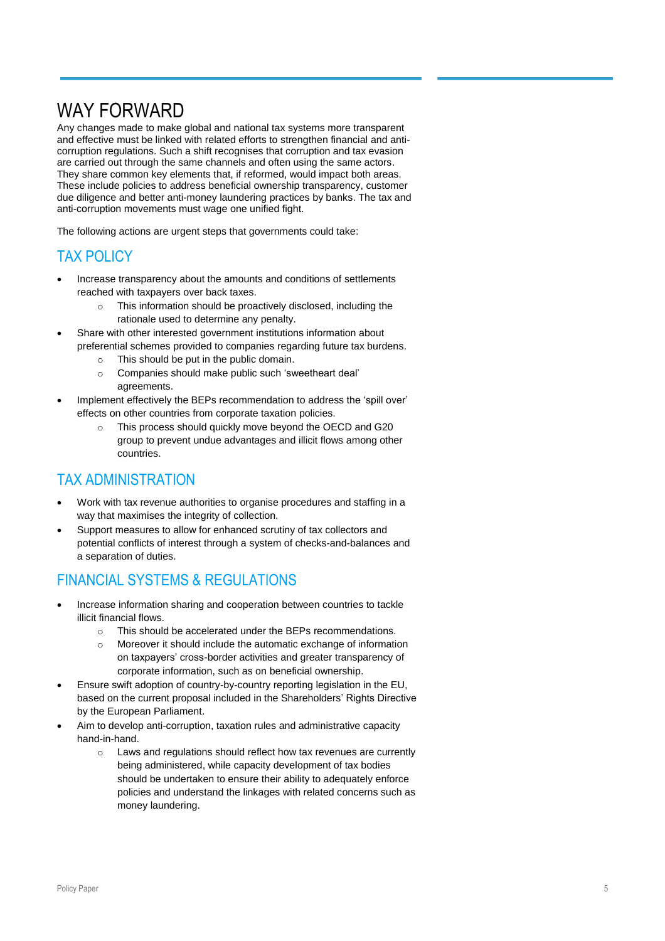### WAY FORWARD

Any changes made to make global and national tax systems more transparent and effective must be linked with related efforts to strengthen financial and anticorruption regulations. Such a shift recognises that corruption and tax evasion are carried out through the same channels and often using the same actors. They share common key elements that, if reformed, would impact both areas. These include policies to address beneficial ownership transparency, customer due diligence and better anti-money laundering practices by banks. The tax and anti-corruption movements must wage one unified fight.

The following actions are urgent steps that governments could take:

#### TAX POLICY

- Increase transparency about the amounts and conditions of settlements reached with taxpayers over back taxes.
	- o This information should be proactively disclosed, including the rationale used to determine any penalty.
- Share with other interested government institutions information about preferential schemes provided to companies regarding future tax burdens.
	- o This should be put in the public domain.
	- o Companies should make public such 'sweetheart deal' agreements.
- Implement effectively the BEPs recommendation to address the 'spill over' effects on other countries from corporate taxation policies.
	- o This process should quickly move beyond the OECD and G20 group to prevent undue advantages and illicit flows among other countries.

### TAX ADMINISTRATION

- Work with tax revenue authorities to organise procedures and staffing in a way that maximises the integrity of collection.
- Support measures to allow for enhanced scrutiny of tax collectors and potential conflicts of interest through a system of checks-and-balances and a separation of duties.

### FINANCIAL SYSTEMS & REGULATIONS

- Increase information sharing and cooperation between countries to tackle illicit financial flows.
	- o This should be accelerated under the BEPs recommendations.
	- o Moreover it should include the automatic exchange of information on taxpayers' cross-border activities and greater transparency of corporate information, such as on beneficial ownership.
- Ensure swift adoption of country-by-country reporting legislation in the EU, based on the current proposal included in the Shareholders' Rights Directive by the European Parliament.
- Aim to develop anti-corruption, taxation rules and administrative capacity hand-in-hand.
	- o Laws and regulations should reflect how tax revenues are currently being administered, while capacity development of tax bodies should be undertaken to ensure their ability to adequately enforce policies and understand the linkages with related concerns such as money laundering.